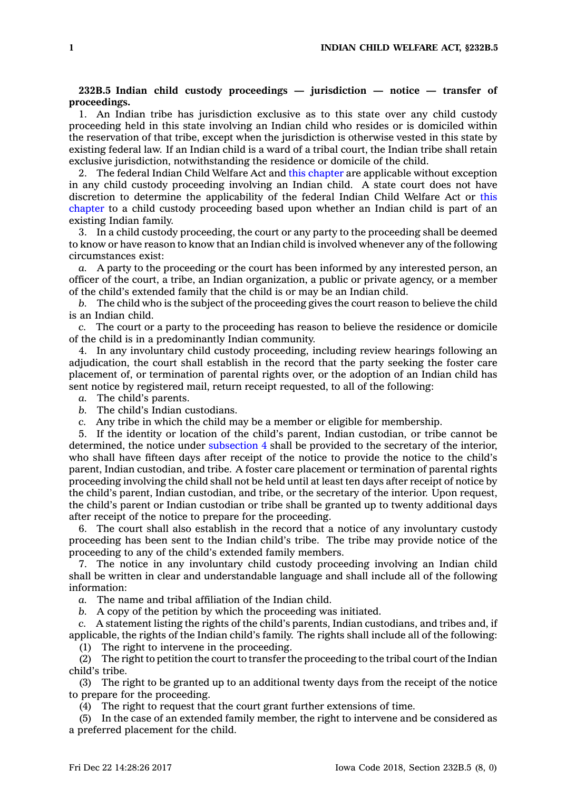## **232B.5 Indian child custody proceedings — jurisdiction — notice — transfer of proceedings.**

1. An Indian tribe has jurisdiction exclusive as to this state over any child custody proceeding held in this state involving an Indian child who resides or is domiciled within the reservation of that tribe, except when the jurisdiction is otherwise vested in this state by existing federal law. If an Indian child is <sup>a</sup> ward of <sup>a</sup> tribal court, the Indian tribe shall retain exclusive jurisdiction, notwithstanding the residence or domicile of the child.

2. The federal Indian Child Welfare Act and this [chapter](https://www.legis.iowa.gov/docs/code//232B.pdf) are applicable without exception in any child custody proceeding involving an Indian child. A state court does not have discretion to determine the applicability of the federal Indian Child Welfare Act or [this](https://www.legis.iowa.gov/docs/code//232B.pdf) [chapter](https://www.legis.iowa.gov/docs/code//232B.pdf) to <sup>a</sup> child custody proceeding based upon whether an Indian child is part of an existing Indian family.

3. In <sup>a</sup> child custody proceeding, the court or any party to the proceeding shall be deemed to know or have reason to know that an Indian child is involved whenever any of the following circumstances exist:

*a.* A party to the proceeding or the court has been informed by any interested person, an officer of the court, <sup>a</sup> tribe, an Indian organization, <sup>a</sup> public or private agency, or <sup>a</sup> member of the child's extended family that the child is or may be an Indian child.

*b.* The child who is the subject of the proceeding gives the court reason to believe the child is an Indian child.

*c.* The court or <sup>a</sup> party to the proceeding has reason to believe the residence or domicile of the child is in <sup>a</sup> predominantly Indian community.

4. In any involuntary child custody proceeding, including review hearings following an adjudication, the court shall establish in the record that the party seeking the foster care placement of, or termination of parental rights over, or the adoption of an Indian child has sent notice by registered mail, return receipt requested, to all of the following:

- *a.* The child's parents.
- *b.* The child's Indian custodians.
- *c.* Any tribe in which the child may be <sup>a</sup> member or eligible for membership.

5. If the identity or location of the child's parent, Indian custodian, or tribe cannot be determined, the notice under [subsection](https://www.legis.iowa.gov/docs/code/232B.5.pdf) 4 shall be provided to the secretary of the interior, who shall have fifteen days after receipt of the notice to provide the notice to the child's parent, Indian custodian, and tribe. A foster care placement or termination of parental rights proceeding involving the child shall not be held until at least ten days after receipt of notice by the child's parent, Indian custodian, and tribe, or the secretary of the interior. Upon request, the child's parent or Indian custodian or tribe shall be granted up to twenty additional days after receipt of the notice to prepare for the proceeding.

6. The court shall also establish in the record that <sup>a</sup> notice of any involuntary custody proceeding has been sent to the Indian child's tribe. The tribe may provide notice of the proceeding to any of the child's extended family members.

7. The notice in any involuntary child custody proceeding involving an Indian child shall be written in clear and understandable language and shall include all of the following information:

*a.* The name and tribal affiliation of the Indian child.

*b.* A copy of the petition by which the proceeding was initiated.

*c.* A statement listing the rights of the child's parents, Indian custodians, and tribes and, if applicable, the rights of the Indian child's family. The rights shall include all of the following:

(1) The right to intervene in the proceeding.

(2) The right to petition the court to transfer the proceeding to the tribal court of the Indian child's tribe.

(3) The right to be granted up to an additional twenty days from the receipt of the notice to prepare for the proceeding.

(4) The right to request that the court grant further extensions of time.

(5) In the case of an extended family member, the right to intervene and be considered as <sup>a</sup> preferred placement for the child.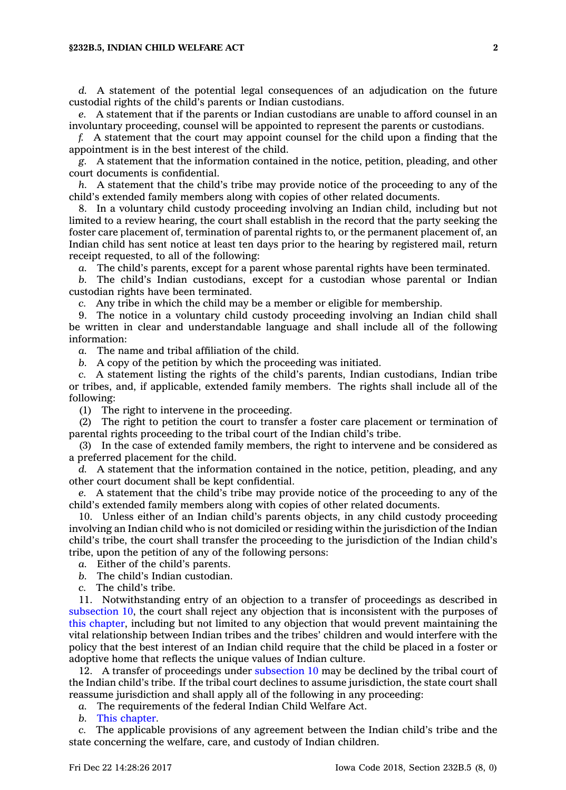## **§232B.5, INDIAN CHILD WELFARE ACT 2**

*d.* A statement of the potential legal consequences of an adjudication on the future custodial rights of the child's parents or Indian custodians.

*e.* A statement that if the parents or Indian custodians are unable to afford counsel in an involuntary proceeding, counsel will be appointed to represent the parents or custodians.

*f.* A statement that the court may appoint counsel for the child upon <sup>a</sup> finding that the appointment is in the best interest of the child.

*g.* A statement that the information contained in the notice, petition, pleading, and other court documents is confidential.

*h.* A statement that the child's tribe may provide notice of the proceeding to any of the child's extended family members along with copies of other related documents.

8. In <sup>a</sup> voluntary child custody proceeding involving an Indian child, including but not limited to <sup>a</sup> review hearing, the court shall establish in the record that the party seeking the foster care placement of, termination of parental rights to, or the permanent placement of, an Indian child has sent notice at least ten days prior to the hearing by registered mail, return receipt requested, to all of the following:

*a.* The child's parents, except for <sup>a</sup> parent whose parental rights have been terminated.

*b.* The child's Indian custodians, except for <sup>a</sup> custodian whose parental or Indian custodian rights have been terminated.

*c.* Any tribe in which the child may be <sup>a</sup> member or eligible for membership.

9. The notice in <sup>a</sup> voluntary child custody proceeding involving an Indian child shall be written in clear and understandable language and shall include all of the following information:

*a.* The name and tribal affiliation of the child.

*b.* A copy of the petition by which the proceeding was initiated.

*c.* A statement listing the rights of the child's parents, Indian custodians, Indian tribe or tribes, and, if applicable, extended family members. The rights shall include all of the following:

(1) The right to intervene in the proceeding.

(2) The right to petition the court to transfer <sup>a</sup> foster care placement or termination of parental rights proceeding to the tribal court of the Indian child's tribe.

(3) In the case of extended family members, the right to intervene and be considered as <sup>a</sup> preferred placement for the child.

*d.* A statement that the information contained in the notice, petition, pleading, and any other court document shall be kept confidential.

*e.* A statement that the child's tribe may provide notice of the proceeding to any of the child's extended family members along with copies of other related documents.

10. Unless either of an Indian child's parents objects, in any child custody proceeding involving an Indian child who is not domiciled or residing within the jurisdiction of the Indian child's tribe, the court shall transfer the proceeding to the jurisdiction of the Indian child's tribe, upon the petition of any of the following persons:

*a.* Either of the child's parents.

*b.* The child's Indian custodian.

*c.* The child's tribe.

11. Notwithstanding entry of an objection to <sup>a</sup> transfer of proceedings as described in [subsection](https://www.legis.iowa.gov/docs/code/232B.5.pdf) 10, the court shall reject any objection that is inconsistent with the purposes of this [chapter](https://www.legis.iowa.gov/docs/code//232B.pdf), including but not limited to any objection that would prevent maintaining the vital relationship between Indian tribes and the tribes' children and would interfere with the policy that the best interest of an Indian child require that the child be placed in <sup>a</sup> foster or adoptive home that reflects the unique values of Indian culture.

12. A transfer of proceedings under [subsection](https://www.legis.iowa.gov/docs/code/232B.5.pdf) 10 may be declined by the tribal court of the Indian child's tribe. If the tribal court declines to assume jurisdiction, the state court shall reassume jurisdiction and shall apply all of the following in any proceeding:

*a.* The requirements of the federal Indian Child Welfare Act.

*b.* This [chapter](https://www.legis.iowa.gov/docs/code//232B.pdf).

*c.* The applicable provisions of any agreement between the Indian child's tribe and the state concerning the welfare, care, and custody of Indian children.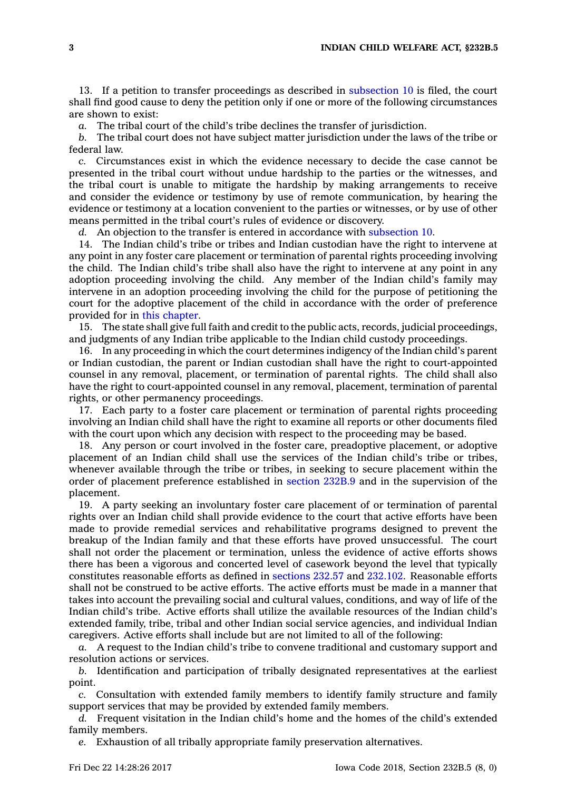13. If <sup>a</sup> petition to transfer proceedings as described in [subsection](https://www.legis.iowa.gov/docs/code/232B.5.pdf) 10 is filed, the court shall find good cause to deny the petition only if one or more of the following circumstances are shown to exist:

*a.* The tribal court of the child's tribe declines the transfer of jurisdiction.

*b.* The tribal court does not have subject matter jurisdiction under the laws of the tribe or federal law.

*c.* Circumstances exist in which the evidence necessary to decide the case cannot be presented in the tribal court without undue hardship to the parties or the witnesses, and the tribal court is unable to mitigate the hardship by making arrangements to receive and consider the evidence or testimony by use of remote communication, by hearing the evidence or testimony at <sup>a</sup> location convenient to the parties or witnesses, or by use of other means permitted in the tribal court's rules of evidence or discovery.

*d.* An objection to the transfer is entered in accordance with [subsection](https://www.legis.iowa.gov/docs/code/232B.5.pdf) 10.

14. The Indian child's tribe or tribes and Indian custodian have the right to intervene at any point in any foster care placement or termination of parental rights proceeding involving the child. The Indian child's tribe shall also have the right to intervene at any point in any adoption proceeding involving the child. Any member of the Indian child's family may intervene in an adoption proceeding involving the child for the purpose of petitioning the court for the adoptive placement of the child in accordance with the order of preference provided for in this [chapter](https://www.legis.iowa.gov/docs/code//232B.pdf).

15. The state shall give full faith and credit to the public acts, records, judicial proceedings, and judgments of any Indian tribe applicable to the Indian child custody proceedings.

16. In any proceeding in which the court determines indigency of the Indian child's parent or Indian custodian, the parent or Indian custodian shall have the right to court-appointed counsel in any removal, placement, or termination of parental rights. The child shall also have the right to court-appointed counsel in any removal, placement, termination of parental rights, or other permanency proceedings.

17. Each party to <sup>a</sup> foster care placement or termination of parental rights proceeding involving an Indian child shall have the right to examine all reports or other documents filed with the court upon which any decision with respect to the proceeding may be based.

18. Any person or court involved in the foster care, preadoptive placement, or adoptive placement of an Indian child shall use the services of the Indian child's tribe or tribes, whenever available through the tribe or tribes, in seeking to secure placement within the order of placement preference established in [section](https://www.legis.iowa.gov/docs/code/232B.9.pdf) 232B.9 and in the supervision of the placement.

19. A party seeking an involuntary foster care placement of or termination of parental rights over an Indian child shall provide evidence to the court that active efforts have been made to provide remedial services and rehabilitative programs designed to prevent the breakup of the Indian family and that these efforts have proved unsuccessful. The court shall not order the placement or termination, unless the evidence of active efforts shows there has been <sup>a</sup> vigorous and concerted level of casework beyond the level that typically constitutes reasonable efforts as defined in [sections](https://www.legis.iowa.gov/docs/code/232.57.pdf) 232.57 and [232.102](https://www.legis.iowa.gov/docs/code/232.102.pdf). Reasonable efforts shall not be construed to be active efforts. The active efforts must be made in <sup>a</sup> manner that takes into account the prevailing social and cultural values, conditions, and way of life of the Indian child's tribe. Active efforts shall utilize the available resources of the Indian child's extended family, tribe, tribal and other Indian social service agencies, and individual Indian caregivers. Active efforts shall include but are not limited to all of the following:

*a.* A request to the Indian child's tribe to convene traditional and customary support and resolution actions or services.

*b.* Identification and participation of tribally designated representatives at the earliest point.

*c.* Consultation with extended family members to identify family structure and family support services that may be provided by extended family members.

*d.* Frequent visitation in the Indian child's home and the homes of the child's extended family members.

*e.* Exhaustion of all tribally appropriate family preservation alternatives.